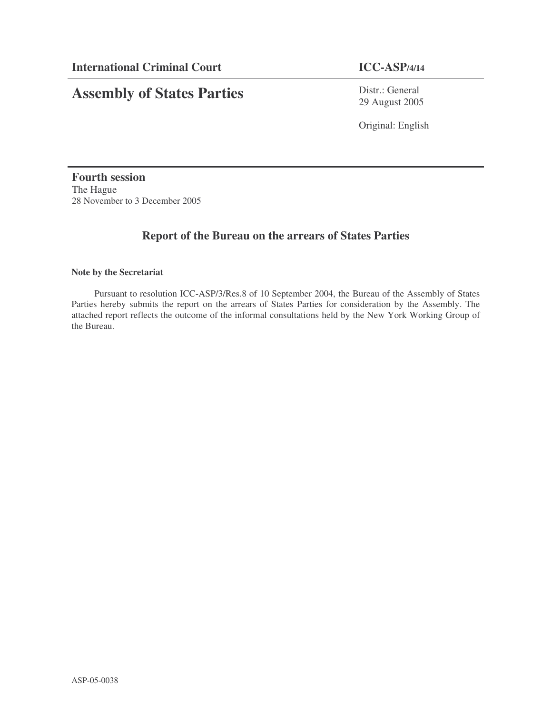# **Assembly of States Parties**

Distr.: General 29 August 2005

Original: English

**Fourth session** The Hague 28 November to 3 December 2005

# **Report of the Bureau on the arrears of States Parties**

# **Note by the Secretariat**

Pursuant to resolution ICC-ASP/3/Res.8 of 10 September 2004, the Bureau of the Assembly of States Parties hereby submits the report on the arrears of States Parties for consideration by the Assembly. The attached report reflects the outcome of the informal consultations held by the New York Working Group of the Bureau.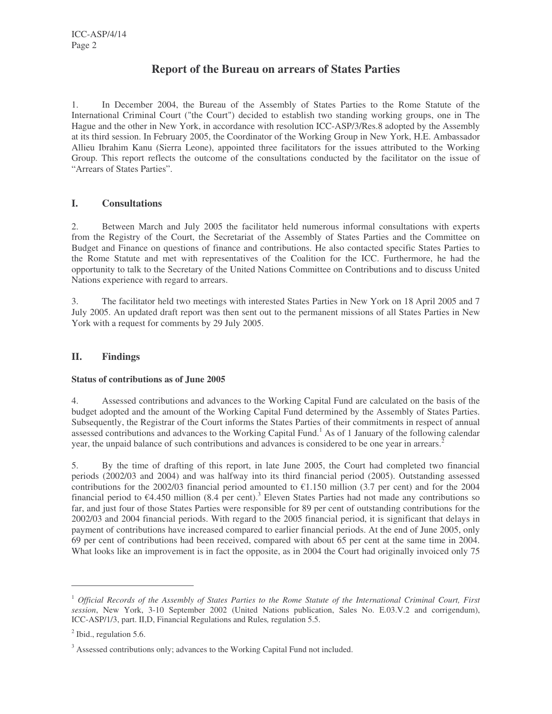# **Report of the Bureau on arrears of States Parties**

1. In December 2004, the Bureau of the Assembly of States Parties to the Rome Statute of the International Criminal Court ("the Court") decided to establish two standing working groups, one in The Hague and the other in New York, in accordance with resolution ICC-ASP/3/Res.8 adopted by the Assembly at its third session. In February 2005, the Coordinator of the Working Group in New York, H.E. Ambassador Allieu Ibrahim Kanu (Sierra Leone), appointed three facilitators for the issues attributed to the Working Group. This report reflects the outcome of the consultations conducted by the facilitator on the issue of "Arrears of States Parties".

# **I. Consultations**

2. Between March and July 2005 the facilitator held numerous informal consultations with experts from the Registry of the Court, the Secretariat of the Assembly of States Parties and the Committee on Budget and Finance on questions of finance and contributions. He also contacted specific States Parties to the Rome Statute and met with representatives of the Coalition for the ICC. Furthermore, he had the opportunity to talk to the Secretary of the United Nations Committee on Contributions and to discuss United Nations experience with regard to arrears.

3. The facilitator held two meetings with interested States Parties in New York on 18 April 2005 and 7 July 2005. An updated draft report was then sent out to the permanent missions of all States Parties in New York with a request for comments by 29 July 2005.

# **II. Findings**

# **Status of contributions as of June 2005**

4. Assessed contributions and advances to the Working Capital Fund are calculated on the basis of the budget adopted and the amount of the Working Capital Fund determined by the Assembly of States Parties. Subsequently, the Registrar of the Court informs the States Parties of their commitments in respect of annual assessed contributions and advances to the Working Capital Fund.<sup>1</sup> As of 1 January of the following calendar year, the unpaid balance of such contributions and advances is considered to be one year in arrears.<sup>2</sup>

5. By the time of drafting of this report, in late June 2005, the Court had completed two financial periods (2002/03 and 2004) and was halfway into its third financial period (2005). Outstanding assessed contributions for the 2002/03 financial period amounted to  $\epsilon$ 1.150 million (3.7 per cent) and for the 2004 financial period to  $\epsilon$ 4.450 million (8.4 per cent).<sup>3</sup> Eleven States Parties had not made any contributions so far, and just four of those States Parties were responsible for 89 per cent of outstanding contributions for the 2002/03 and 2004 financial periods. With regard to the 2005 financial period, it is significant that delays in payment of contributions have increased compared to earlier financial periods. At the end of June 2005, only 69 per cent of contributions had been received, compared with about 65 per cent at the same time in 2004. What looks like an improvement is in fact the opposite, as in 2004 the Court had originally invoiced only 75

 $1$  Official Records of the Assembly of States Parties to the Rome Statute of the International Criminal Court, First *session*, New York, 3-10 September 2002 (United Nations publication, Sales No. E.03.V.2 and corrigendum), ICC-ASP/1/3, part. II,D, Financial Regulations and Rules*,* regulation 5.5.

 $<sup>2</sup>$  Ibid., regulation 5.6.</sup>

<sup>&</sup>lt;sup>3</sup> Assessed contributions only; advances to the Working Capital Fund not included.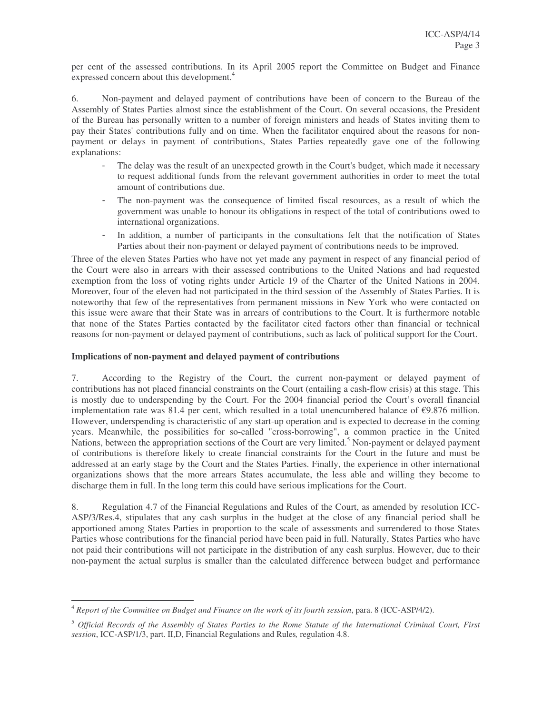per cent of the assessed contributions. In its April 2005 report the Committee on Budget and Finance expressed concern about this development.<sup>4</sup>

6. Non-payment and delayed payment of contributions have been of concern to the Bureau of the Assembly of States Parties almost since the establishment of the Court. On several occasions, the President of the Bureau has personally written to a number of foreign ministers and heads of States inviting them to pay their States' contributions fully and on time. When the facilitator enquired about the reasons for nonpayment or delays in payment of contributions, States Parties repeatedly gave one of the following explanations:

- The delay was the result of an unexpected growth in the Court's budget, which made it necessary to request additional funds from the relevant government authorities in order to meet the total amount of contributions due.
- The non-payment was the consequence of limited fiscal resources, as a result of which the government was unable to honour its obligations in respect of the total of contributions owed to international organizations.
- In addition, a number of participants in the consultations felt that the notification of States Parties about their non-payment or delayed payment of contributions needs to be improved.

Three of the eleven States Parties who have not yet made any payment in respect of any financial period of the Court were also in arrears with their assessed contributions to the United Nations and had requested exemption from the loss of voting rights under Article 19 of the Charter of the United Nations in 2004. Moreover, four of the eleven had not participated in the third session of the Assembly of States Parties. It is noteworthy that few of the representatives from permanent missions in New York who were contacted on this issue were aware that their State was in arrears of contributions to the Court. It is furthermore notable that none of the States Parties contacted by the facilitator cited factors other than financial or technical reasons for non-payment or delayed payment of contributions, such as lack of political support for the Court.

### **Implications of non-payment and delayed payment of contributions**

7. According to the Registry of the Court, the current non-payment or delayed payment of contributions has not placed financial constraints on the Court (entailing a cash-flow crisis) at this stage. This is mostly due to underspending by the Court. For the 2004 financial period the Court's overall financial implementation rate was 81.4 per cent, which resulted in a total unencumbered balance of  $\epsilon$ 9.876 million. However, underspending is characteristic of any start-up operation and is expected to decrease in the coming years. Meanwhile, the possibilities for so-called "cross-borrowing", a common practice in the United Nations, between the appropriation sections of the Court are very limited.<sup>5</sup> Non-payment or delayed payment of contributions is therefore likely to create financial constraints for the Court in the future and must be addressed at an early stage by the Court and the States Parties. Finally, the experience in other international organizations shows that the more arrears States accumulate, the less able and willing they become to discharge them in full. In the long term this could have serious implications for the Court.

8. Regulation 4.7 of the Financial Regulations and Rules of the Court, as amended by resolution ICC-ASP/3/Res.4, stipulates that any cash surplus in the budget at the close of any financial period shall be apportioned among States Parties in proportion to the scale of assessments and surrendered to those States Parties whose contributions for the financial period have been paid in full. Naturally, States Parties who have not paid their contributions will not participate in the distribution of any cash surplus. However, due to their non-payment the actual surplus is smaller than the calculated difference between budget and performance

<sup>4</sup> *Report of the Committee on Budget and Finance on the work of its fourth session*, para. 8 (ICC-ASP/4/2).

<sup>&</sup>lt;sup>5</sup> Official Records of the Assembly of States Parties to the Rome Statute of the International Criminal Court, First *session*, ICC-ASP/1/3, part. II,D, Financial Regulations and Rules*,* regulation 4.8.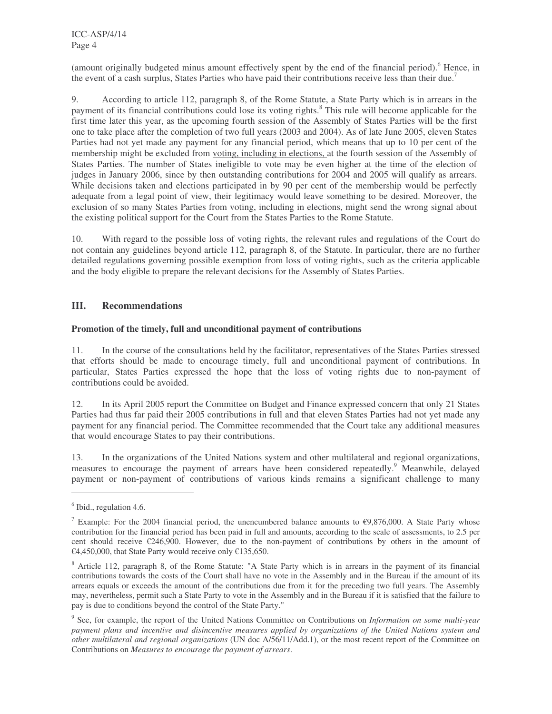(amount originally budgeted minus amount effectively spent by the end of the financial period). <sup>6</sup> Hence, in the event of a cash surplus, States Parties who have paid their contributions receive less than their due.<sup>7</sup>

9. According to article 112, paragraph 8, of the Rome Statute, a State Party which is in arrears in the payment of its financial contributions could lose its voting rights.<sup>8</sup> This rule will become applicable for the first time later this year, as the upcoming fourth session of the Assembly of States Parties will be the first one to take place after the completion of two full years (2003 and 2004). As of late June 2005, eleven States Parties had not yet made any payment for any financial period, which means that up to 10 per cent of the membership might be excluded from voting, including in elections, at the fourth session of the Assembly of States Parties. The number of States ineligible to vote may be even higher at the time of the election of judges in January 2006, since by then outstanding contributions for 2004 and 2005 will qualify as arrears. While decisions taken and elections participated in by 90 per cent of the membership would be perfectly adequate from a legal point of view, their legitimacy would leave something to be desired. Moreover, the exclusion of so many States Parties from voting, including in elections, might send the wrong signal about the existing political support for the Court from the States Parties to the Rome Statute.

10. With regard to the possible loss of voting rights, the relevant rules and regulations of the Court do not contain any guidelines beyond article 112, paragraph 8, of the Statute. In particular, there are no further detailed regulations governing possible exemption from loss of voting rights, such as the criteria applicable and the body eligible to prepare the relevant decisions for the Assembly of States Parties.

# **III. Recommendations**

### **Promotion of the timely, full and unconditional payment of contributions**

11. In the course of the consultations held by the facilitator, representatives of the States Parties stressed that efforts should be made to encourage timely, full and unconditional payment of contributions. In particular, States Parties expressed the hope that the loss of voting rights due to non-payment of contributions could be avoided.

12. In its April 2005 report the Committee on Budget and Finance expressed concern that only 21 States Parties had thus far paid their 2005 contributions in full and that eleven States Parties had not yet made any payment for any financial period. The Committee recommended that the Court take any additional measures that would encourage States to pay their contributions.

13. In the organizations of the United Nations system and other multilateral and regional organizations, measures to encourage the payment of arrears have been considered repeatedly.<sup>9</sup> Meanwhile, delayed payment or non-payment of contributions of various kinds remains a significant challenge to many

<sup>&</sup>lt;sup>6</sup> Ibid., regulation 4.6.

<sup>&</sup>lt;sup>7</sup> Example: For the 2004 financial period, the unencumbered balance amounts to  $\epsilon$ 9,876,000. A State Party whose contribution for the financial period has been paid in full and amounts, according to the scale of assessments, to 2.5 per cent should receive  $\epsilon$ 246,900. However, due to the non-payment of contributions by others in the amount of €4,450,000, that State Party would receive only €135,650.

<sup>&</sup>lt;sup>8</sup> Article 112, paragraph 8, of the Rome Statute: "A State Party which is in arrears in the payment of its financial contributions towards the costs of the Court shall have no vote in the Assembly and in the Bureau if the amount of its arrears equals or exceeds the amount of the contributions due from it for the preceding two full years. The Assembly may, nevertheless, permit such a State Party to vote in the Assembly and in the Bureau if it is satisfied that the failure to pay is due to conditions beyond the control of the State Party."

<sup>9</sup> See, for example, the report of the United Nations Committee on Contributions on *Information on some multi-year payment plans and incentive and disincentive measures applied by organizations of the United Nations system and other multilateral and regional organizations* (UN doc A/56/11/Add.1), or the most recent report of the Committee on Contributions on *Measures to encourage the payment of arrears*.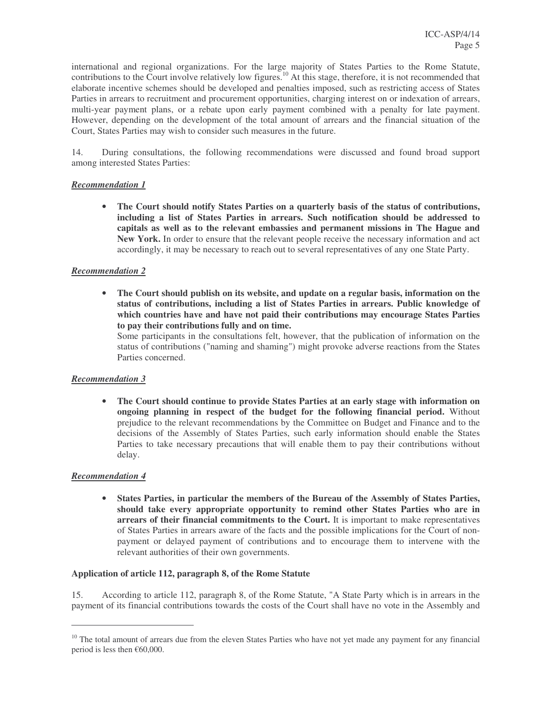international and regional organizations. For the large majority of States Parties to the Rome Statute, contributions to the Court involve relatively low figures.<sup>10</sup> At this stage, therefore, it is not recommended that elaborate incentive schemes should be developed and penalties imposed, such as restricting access of States Parties in arrears to recruitment and procurement opportunities, charging interest on or indexation of arrears, multi-year payment plans, or a rebate upon early payment combined with a penalty for late payment. However, depending on the development of the total amount of arrears and the financial situation of the Court, States Parties may wish to consider such measures in the future.

14. During consultations, the following recommendations were discussed and found broad support among interested States Parties:

### *Recommendation 1*

• **The Court should notify States Parties on a quarterly basis of the status of contributions, including a list of States Parties in arrears. Such notification should be addressed to capitals as well as to the relevant embassies and permanent missions in The Hague and New York.** In order to ensure that the relevant people receive the necessary information and act accordingly, it may be necessary to reach out to several representatives of any one State Party.

#### *Recommendation 2*

• **The Court should publish on its website, and update on a regular basis, information on the status of contributions, including a list of States Parties in arrears. Public knowledge of which countries have and have not paid their contributions may encourage States Parties to pay their contributions fully and on time.**

Some participants in the consultations felt, however, that the publication of information on the status of contributions ("naming and shaming") might provoke adverse reactions from the States Parties concerned.

### *Recommendation 3*

• **The Court should continue to provide States Parties at an early stage with information on ongoing planning in respect of the budget for the following financial period.** Without prejudice to the relevant recommendations by the Committee on Budget and Finance and to the decisions of the Assembly of States Parties, such early information should enable the States Parties to take necessary precautions that will enable them to pay their contributions without delay.

#### *Recommendation 4*

• **States Parties, in particular the members of the Bureau of the Assembly of States Parties, should take every appropriate opportunity to remind other States Parties who are in arrears of their financial commitments to the Court.** It is important to make representatives of States Parties in arrears aware of the facts and the possible implications for the Court of nonpayment or delayed payment of contributions and to encourage them to intervene with the relevant authorities of their own governments.

#### **Application of article 112, paragraph 8, of the Rome Statute**

15. According to article 112, paragraph 8, of the Rome Statute, "A State Party which is in arrears in the payment of its financial contributions towards the costs of the Court shall have no vote in the Assembly and

<sup>&</sup>lt;sup>10</sup> The total amount of arrears due from the eleven States Parties who have not yet made any payment for any financial period is less then €60,000.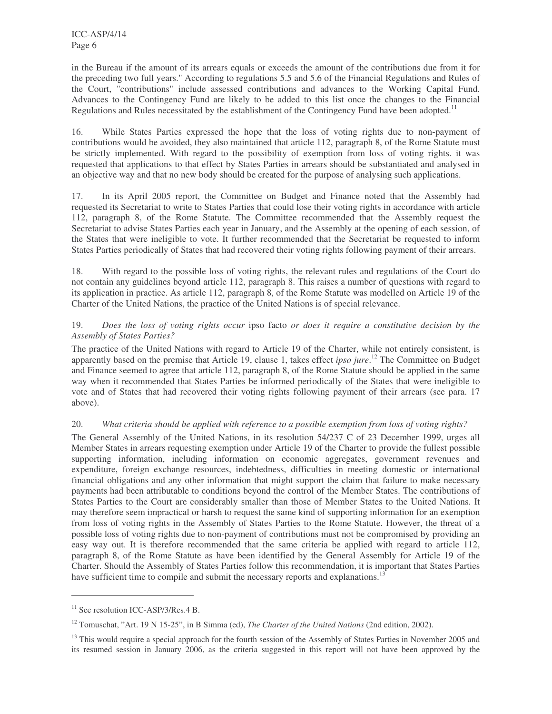in the Bureau if the amount of its arrears equals or exceeds the amount of the contributions due from it for the preceding two full years." According to regulations 5.5 and 5.6 of the Financial Regulations and Rules of the Court, "contributions" include assessed contributions and advances to the Working Capital Fund. Advances to the Contingency Fund are likely to be added to this list once the changes to the Financial Regulations and Rules necessitated by the establishment of the Contingency Fund have been adopted.<sup>11</sup>

16. While States Parties expressed the hope that the loss of voting rights due to non-payment of contributions would be avoided, they also maintained that article 112, paragraph 8, of the Rome Statute must be strictly implemented. With regard to the possibility of exemption from loss of voting rights. it was requested that applications to that effect by States Parties in arrears should be substantiated and analysed in an objective way and that no new body should be created for the purpose of analysing such applications.

17. In its April 2005 report, the Committee on Budget and Finance noted that the Assembly had requested its Secretariat to write to States Parties that could lose their voting rights in accordance with article 112, paragraph 8, of the Rome Statute. The Committee recommended that the Assembly request the Secretariat to advise States Parties each year in January, and the Assembly at the opening of each session, of the States that were ineligible to vote. It further recommended that the Secretariat be requested to inform States Parties periodically of States that had recovered their voting rights following payment of their arrears.

18. With regard to the possible loss of voting rights, the relevant rules and regulations of the Court do not contain any guidelines beyond article 112, paragraph 8. This raises a number of questions with regard to its application in practice. As article 112, paragraph 8, of the Rome Statute was modelled on Article 19 of the Charter of the United Nations, the practice of the United Nations is of special relevance.

# 19. *Does the loss of voting rights occur* ipso facto *or does it require a constitutive decision by the Assembly of States Parties?*

The practice of the United Nations with regard to Article 19 of the Charter, while not entirely consistent, is apparently based on the premise that Article 19, clause 1, takes effect *ipso jure*. <sup>12</sup> The Committee on Budget and Finance seemed to agree that article 112, paragraph 8, of the Rome Statute should be applied in the same way when it recommended that States Parties be informed periodically of the States that were ineligible to vote and of States that had recovered their voting rights following payment of their arrears (see para. 17 above).

# 20. *What criteria should be applied with reference to a possible exemption from loss of voting rights?*

The General Assembly of the United Nations, in its resolution 54/237 C of 23 December 1999, urges all Member States in arrears requesting exemption under Article 19 of the Charter to provide the fullest possible supporting information, including information on economic aggregates, government revenues and expenditure, foreign exchange resources, indebtedness, difficulties in meeting domestic or international financial obligations and any other information that might support the claim that failure to make necessary payments had been attributable to conditions beyond the control of the Member States. The contributions of States Parties to the Court are considerably smaller than those of Member States to the United Nations. It may therefore seem impractical or harsh to request the same kind of supporting information for an exemption from loss of voting rights in the Assembly of States Parties to the Rome Statute. However, the threat of a possible loss of voting rights due to non-payment of contributions must not be compromised by providing an easy way out. It is therefore recommended that the same criteria be applied with regard to article 112, paragraph 8, of the Rome Statute as have been identified by the General Assembly for Article 19 of the Charter. Should the Assembly of States Parties follow this recommendation, it is important that States Parties have sufficient time to compile and submit the necessary reports and explanations.<sup>13</sup>

<sup>&</sup>lt;sup>11</sup> See resolution ICC-ASP/3/Res.4 B.

<sup>12</sup> Tomuschat, "Art. 19 N 15-25", in B Simma (ed), *The Charter of the United Nations* (2nd edition, 2002).

<sup>&</sup>lt;sup>13</sup> This would require a special approach for the fourth session of the Assembly of States Parties in November 2005 and its resumed session in January 2006, as the criteria suggested in this report will not have been approved by the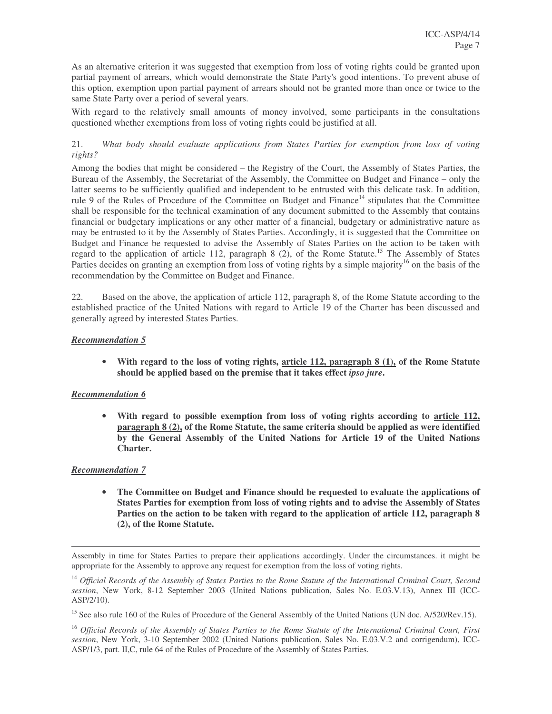As an alternative criterion it was suggested that exemption from loss of voting rights could be granted upon partial payment of arrears, which would demonstrate the State Party's good intentions. To prevent abuse of this option, exemption upon partial payment of arrears should not be granted more than once or twice to the same State Party over a period of several years.

With regard to the relatively small amounts of money involved, some participants in the consultations questioned whether exemptions from loss of voting rights could be justified at all.

# 21. *What body should evaluate applications from States Parties for exemption from loss of voting rights?*

Among the bodies that might be considered – the Registry of the Court, the Assembly of States Parties, the Bureau of the Assembly, the Secretariat of the Assembly, the Committee on Budget and Finance – only the latter seems to be sufficiently qualified and independent to be entrusted with this delicate task. In addition, rule 9 of the Rules of Procedure of the Committee on Budget and Finance<sup>14</sup> stipulates that the Committee shall be responsible for the technical examination of any document submitted to the Assembly that contains financial or budgetary implications or any other matter of a financial, budgetary or administrative nature as may be entrusted to it by the Assembly of States Parties. Accordingly, it is suggested that the Committee on Budget and Finance be requested to advise the Assembly of States Parties on the action to be taken with regard to the application of article 112, paragraph 8 (2), of the Rome Statute.<sup>15</sup> The Assembly of States Parties decides on granting an exemption from loss of voting rights by a simple majority<sup>16</sup> on the basis of the recommendation by the Committee on Budget and Finance.

22. Based on the above, the application of article 112, paragraph 8, of the Rome Statute according to the established practice of the United Nations with regard to Article 19 of the Charter has been discussed and generally agreed by interested States Parties.

# *Recommendation 5*

• **With regard to the loss of voting rights, article 112, paragraph 8 (1), of the Rome Statute should be applied based on the premise that it takes effect** *ipso jure***.**

### *Recommendation 6*

• **With regard to possible exemption from loss of voting rights according to article 112, paragraph 8 (2), of the Rome Statute, the same criteria should be applied as were identified by the General Assembly of the United Nations for Article 19 of the United Nations Charter.**

### *Recommendation 7*

• **The Committee on Budget and Finance should be requested to evaluate the applications of States Parties for exemption from loss of voting rights and to advise the Assembly of States Parties on the action to be taken with regard to the application of article 112, paragraph 8 (2), of the Rome Statute.**

Assembly in time for States Parties to prepare their applications accordingly. Under the circumstances. it might be appropriate for the Assembly to approve any request for exemption from the loss of voting rights.

<sup>&</sup>lt;sup>14</sup> Official Records of the Assembly of States Parties to the Rome Statute of the International Criminal Court, Second *session*, New York, 8-12 September 2003 (United Nations publication, Sales No. E.03.V.13), Annex III (ICC-ASP/2/10).

<sup>&</sup>lt;sup>15</sup> See also rule 160 of the Rules of Procedure of the General Assembly of the United Nations (UN doc. A/520/Rev.15).

<sup>&</sup>lt;sup>16</sup> Official Records of the Assembly of States Parties to the Rome Statute of the International Criminal Court, First *session*, New York, 3-10 September 2002 (United Nations publication, Sales No. E.03.V.2 and corrigendum), ICC-ASP/1/3, part. II,C, rule 64 of the Rules of Procedure of the Assembly of States Parties.